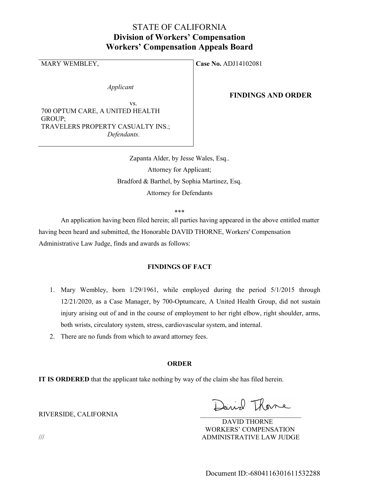# STATE OF CALIFORNIA Division of Workers' Compensation Workers' Compensation Appeals Board

Applicant

 vs. 700 OPTUM CARE, A UNITED HEALTH GROUP; TRAVELERS PROPERTY CASUALTY INS.; Defendants.

MARY WEMBLEY, Case No. ADJ14102081

### FINDINGS AND ORDER

Zapanta Alder, by Jesse Wales, Esq.. Attorney for Applicant; Bradford & Barthel, by Sophia Martinez, Esq. Attorney for Defendants

\*\*\*

 An application having been filed herein; all parties having appeared in the above entitled matter having been heard and submitted, the Honorable DAVID THORNE, Workers' Compensation Administrative Law Judge, finds and awards as follows:

### FINDINGS OF FACT

- 1. Mary Wembley, born 1/29/1961, while employed during the period 5/1/2015 through 12/21/2020, as a Case Manager, by 700-Optumcare, A United Health Group, did not sustain injury arising out of and in the course of employment to her right elbow, right shoulder, arms, both wrists, circulatory system, stress, cardiovascular system, and internal.
- 2. There are no funds from which to award attorney fees.

#### ORDER

IT IS ORDERED that the applicant take nothing by way of the claim she has filed herein.

Daniel Thoma

 DAVID THORNE WORKERS' COMPENSATION /// ADMINISTRATIVE LAW JUDGE

RIVERSIDE, CALIFORNIA \_\_\_\_\_\_\_\_\_\_\_\_\_\_\_\_\_\_\_\_\_\_\_\_\_\_\_\_\_\_

Document ID:-6804116301611532288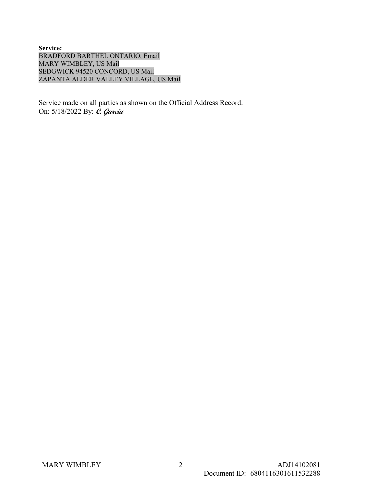Service: BRADFORD BARTHEL ONTARIO, Email MARY WIMBLEY, US Mail SEDGWICK 94520 CONCORD, US Mail ZAPANTA ALDER VALLEY VILLAGE, US Mail

Service made on all parties as shown on the Official Address Record. On: 5/18/2022 By: *C. Garcia*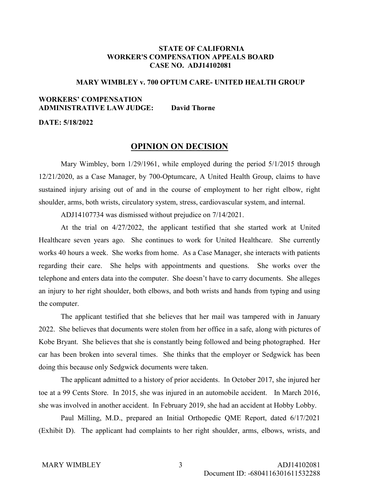### STATE OF CALIFORNIA WORKER'S COMPENSATION APPEALS BOARD CASE NO. ADJ14102081

### MARY WIMBLEY v. 700 OPTUM CARE- UNITED HEALTH GROUP

## WORKERS' COMPENSATION ADMINISTRATIVE LAW JUDGE: David Thorne

DATE: 5/18/2022

### OPINION ON DECISION

 Mary Wimbley, born 1/29/1961, while employed during the period 5/1/2015 through 12/21/2020, as a Case Manager, by 700-Optumcare, A United Health Group, claims to have sustained injury arising out of and in the course of employment to her right elbow, right shoulder, arms, both wrists, circulatory system, stress, cardiovascular system, and internal.

ADJ14107734 was dismissed without prejudice on 7/14/2021.

 At the trial on 4/27/2022, the applicant testified that she started work at United Healthcare seven years ago. She continues to work for United Healthcare. She currently works 40 hours a week. She works from home. As a Case Manager, she interacts with patients regarding their care. She helps with appointments and questions. She works over the telephone and enters data into the computer. She doesn't have to carry documents. She alleges an injury to her right shoulder, both elbows, and both wrists and hands from typing and using the computer.

 The applicant testified that she believes that her mail was tampered with in January 2022. She believes that documents were stolen from her office in a safe, along with pictures of Kobe Bryant. She believes that she is constantly being followed and being photographed. Her car has been broken into several times. She thinks that the employer or Sedgwick has been doing this because only Sedgwick documents were taken.

 The applicant admitted to a history of prior accidents. In October 2017, she injured her toe at a 99 Cents Store. In 2015, she was injured in an automobile accident. In March 2016, she was involved in another accident. In February 2019, she had an accident at Hobby Lobby.

 Paul Milling, M.D., prepared an Initial Orthopedic QME Report, dated 6/17/2021 (Exhibit D). The applicant had complaints to her right shoulder, arms, elbows, wrists, and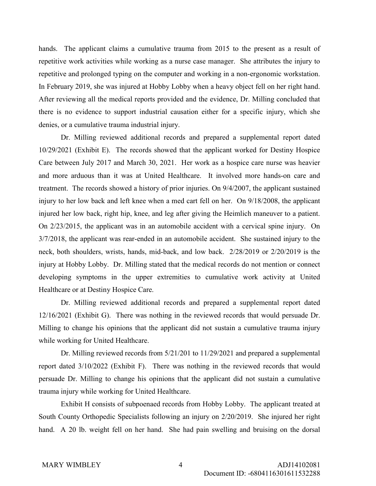hands. The applicant claims a cumulative trauma from 2015 to the present as a result of repetitive work activities while working as a nurse case manager. She attributes the injury to repetitive and prolonged typing on the computer and working in a non-ergonomic workstation. In February 2019, she was injured at Hobby Lobby when a heavy object fell on her right hand. After reviewing all the medical reports provided and the evidence, Dr. Milling concluded that there is no evidence to support industrial causation either for a specific injury, which she denies, or a cumulative trauma industrial injury.

 Dr. Milling reviewed additional records and prepared a supplemental report dated 10/29/2021 (Exhibit E). The records showed that the applicant worked for Destiny Hospice Care between July 2017 and March 30, 2021. Her work as a hospice care nurse was heavier and more arduous than it was at United Healthcare. It involved more hands-on care and treatment. The records showed a history of prior injuries. On 9/4/2007, the applicant sustained injury to her low back and left knee when a med cart fell on her. On 9/18/2008, the applicant injured her low back, right hip, knee, and leg after giving the Heimlich maneuver to a patient. On 2/23/2015, the applicant was in an automobile accident with a cervical spine injury. On 3/7/2018, the applicant was rear-ended in an automobile accident. She sustained injury to the neck, both shoulders, wrists, hands, mid-back, and low back. 2/28/2019 or 2/20/2019 is the injury at Hobby Lobby. Dr. Milling stated that the medical records do not mention or connect developing symptoms in the upper extremities to cumulative work activity at United Healthcare or at Destiny Hospice Care.

 Dr. Milling reviewed additional records and prepared a supplemental report dated 12/16/2021 (Exhibit G). There was nothing in the reviewed records that would persuade Dr. Milling to change his opinions that the applicant did not sustain a cumulative trauma injury while working for United Healthcare.

 Dr. Milling reviewed records from 5/21/201 to 11/29/2021 and prepared a supplemental report dated 3/10/2022 (Exhibit F). There was nothing in the reviewed records that would persuade Dr. Milling to change his opinions that the applicant did not sustain a cumulative trauma injury while working for United Healthcare.

 Exhibit H consists of subpoenaed records from Hobby Lobby. The applicant treated at South County Orthopedic Specialists following an injury on 2/20/2019. She injured her right hand. A 20 lb. weight fell on her hand. She had pain swelling and bruising on the dorsal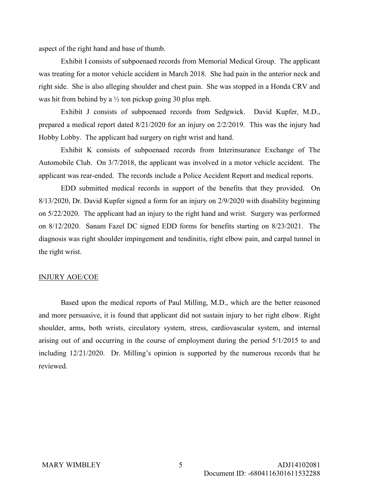aspect of the right hand and base of thumb.

 Exhibit I consists of subpoenaed records from Memorial Medical Group. The applicant was treating for a motor vehicle accident in March 2018. She had pain in the anterior neck and right side. She is also alleging shoulder and chest pain. She was stopped in a Honda CRV and was hit from behind by a  $\frac{1}{2}$  ton pickup going 30 plus mph.

 Exhibit J consists of subpoenaed records from Sedgwick. David Kupfer, M.D., prepared a medical report dated 8/21/2020 for an injury on 2/2/2019. This was the injury had Hobby Lobby. The applicant had surgery on right wrist and hand.

 Exhibit K consists of subpoenaed records from Interinsurance Exchange of The Automobile Club. On 3/7/2018, the applicant was involved in a motor vehicle accident. The applicant was rear-ended. The records include a Police Accident Report and medical reports.

 EDD submitted medical records in support of the benefits that they provided. On 8/13/2020, Dr. David Kupfer signed a form for an injury on 2/9/2020 with disability beginning on 5/22/2020. The applicant had an injury to the right hand and wrist. Surgery was performed on 8/12/2020. Sanam Fazel DC signed EDD forms for benefits starting on 8/23/2021. The diagnosis was right shoulder impingement and tendinitis, right elbow pain, and carpal tunnel in the right wrist.

#### INJURY AOE/COE

 Based upon the medical reports of Paul Milling, M.D., which are the better reasoned and more persuasive, it is found that applicant did not sustain injury to her right elbow. Right shoulder, arms, both wrists, circulatory system, stress, cardiovascular system, and internal arising out of and occurring in the course of employment during the period 5/1/2015 to and including 12/21/2020. Dr. Milling's opinion is supported by the numerous records that he reviewed.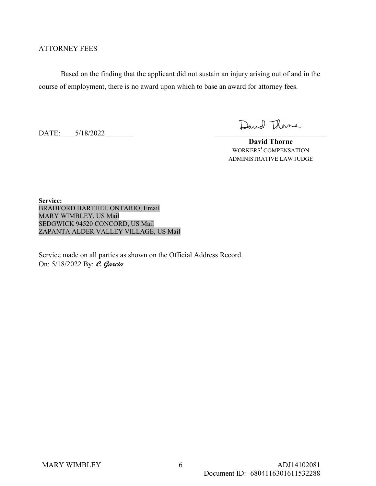### ATTORNEY FEES

 Based on the finding that the applicant did not sustain an injury arising out of and in the course of employment, there is no award upon which to base an award for attorney fees.

DATE:  $5/18/2022$ 

David Thome

 David Thorne WORKERS' COMPENSATION ADMINISTRATIVE LAW JUDGE

Service: BRADFORD BARTHEL ONTARIO, Email MARY WIMBLEY, US Mail SEDGWICK 94520 CONCORD, US Mail ZAPANTA ALDER VALLEY VILLAGE, US Mail

Service made on all parties as shown on the Official Address Record. On: 5/18/2022 By: *C. Garcia*